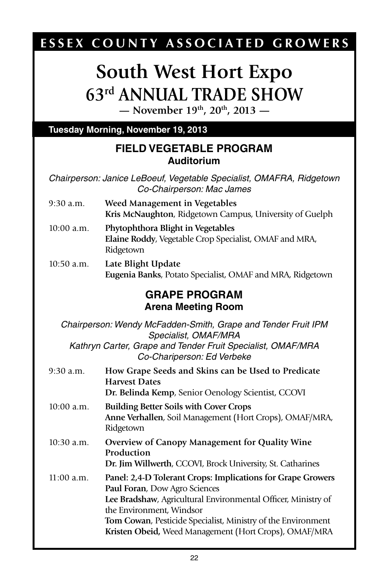# ESSEX COUNTY ASSOCIATED GROWERS

# **South West Hort Expo 63rd Annual Trade Show**

**— November 19th, 20th, 2013 —**

#### **Tuesday Morning, November 19, 2013**

#### **FIELD VEGETABLE PROGRAM Auditorium**

*Chairperson: Janice LeBoeuf, Vegetable Specialist, OMAFRA, Ridgetown Co-Chairperson: Mac James*

- 9:30 a.m. **Weed Management in Vegetables Kris McNaughton**, Ridgetown Campus, University of Guelph
- 10:00 a.m. **Phytophthora Blight in Vegetables Elaine Roddy**, Vegetable Crop Specialist, OMAF and MRA, **Ridgetown**
- 10:50 a.m. **Late Blight Update Eugenia Banks**, Potato Specialist, OMAF and MRA, Ridgetown

### **GRAPE PROGRAM Arena Meeting Room**

*Chairperson: Wendy McFadden-Smith, Grape and Tender Fruit IPM Specialist, OMAF/MRA Kathryn Carter, Grape and Tender Fruit Specialist, OMAF/MRA Co-Chariperson: Ed Verbeke*

- 9:30 a.m. **How Grape Seeds and Skins can be Used to Predicate Harvest Dates Dr. Belinda Kemp**, Senior Oenology Scientist, CCOVI
- 10:00 a.m. **Building Better Soils with Cover Crops Anne Verhallen**, Soil Management (Hort Crops), OMAF/MRA, Ridgetown
- 10:30 a.m. **Overview of Canopy Management for Quality Wine Production Dr. Jim Willwerth**, CCOVI, Brock University, St. Catharines
- 11:00 a.m. **Panel: 2,4-D Tolerant Crops: Implications for Grape Growers Paul Foran**, Dow Agro Sciences **Lee Bradshaw**, Agricultural Environmental Officer, Ministry of the Environment, Windsor **Tom Cowan**, Pesticide Specialist, Ministry of the Environment **Kristen Obeid,** Weed Management (Hort Crops), OMAF/MRA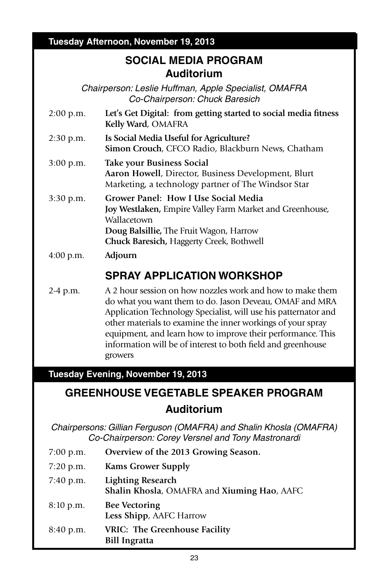#### **Tuesday Afternoon, November 19, 2013**

### **SOCIAL MEDIA PROGRAM Auditorium**

*Chairperson: Leslie Huffman, Apple Specialist, OMAFRA Co-Chairperson: Chuck Baresich*

- 2:00 p.m. **Let's Get Digital: from getting started to social media fitness Kelly Ward**, OMAFRA
- 2:30 p.m. **Is Social Media Useful for Agriculture? Simon Crouch**, CFCO Radio, Blackburn News, Chatham
- 3:00 p.m. **Take your Business Social Aaron Howell**, Director, Business Development, Blurt Marketing, a technology partner of The Windsor Star
- 3:30 p.m. **Grower Panel: How I Use Social Media Joy Westlaken,** Empire Valley Farm Market and Greenhouse, Wallacetown **Doug Balsillie,** The Fruit Wagon, Harrow **Chuck Baresich,** Haggerty Creek, Bothwell
- 4:00 p.m. **Adjourn**

## **SPRAY APPLICATION WORKSHOP**

2-4 p.m. A 2 hour session on how nozzles work and how to make them do what you want them to do. Jason Deveau, OMAF and MRA Application Technology Specialist, will use his patternator and other materials to examine the inner workings of your spray equipment, and learn how to improve their performance. This information will be of interest to both field and greenhouse growers

#### **Tuesday Evening, November 19, 2013**

# **Greenhouse vegetable speaker Program Auditorium**

*Chairpersons: Gillian Ferguson (OMAFRA) and Shalin Khosla (OMAFRA) Co-Chairperson: Corey Versnel and Tony Mastronardi*

- 7:00 p.m. **Overview of the 2013 Growing Season.**
- 7:20 p.m. **Kams Grower Supply**
- 7:40 p.m. **Lighting Research Shalin Khosla**, OMAFRA and **Xiuming Hao**, AAFC
- 8:10 p.m. **Bee Vectoring Less Shipp**, AAFC Harrow
- 8:40 p.m. **VRIC: The Greenhouse Facility Bill Ingratta**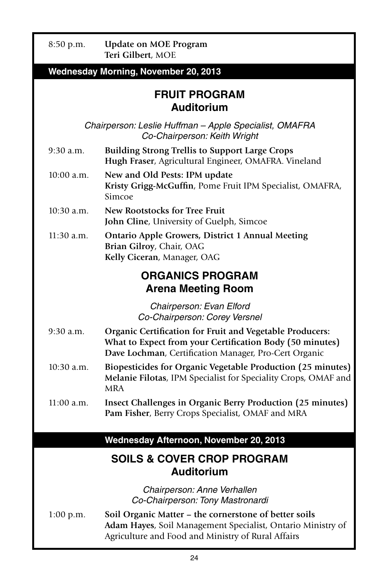| 8:50 p.m.                                                  | <b>Update on MOE Program</b><br>Teri Gilbert, MOE                                                                                                                             |  |
|------------------------------------------------------------|-------------------------------------------------------------------------------------------------------------------------------------------------------------------------------|--|
|                                                            | <b>Wednesday Morning, November 20, 2013</b>                                                                                                                                   |  |
| <b>FRUIT PROGRAM</b><br><b>Auditorium</b>                  |                                                                                                                                                                               |  |
|                                                            | Chairperson: Leslie Huffman - Apple Specialist, OMAFRA<br>Co-Chairperson: Keith Wright                                                                                        |  |
| $9:30$ a.m.                                                | <b>Building Strong Trellis to Support Large Crops</b><br>Hugh Fraser, Agricultural Engineer, OMAFRA. Vineland                                                                 |  |
| $10:00$ a.m.                                               | New and Old Pests: IPM update<br>Kristy Grigg-McGuffin, Pome Fruit IPM Specialist, OMAFRA,<br>Simcoe                                                                          |  |
| $10:30$ a.m.                                               | New Rootstocks for Tree Fruit<br>John Cline, University of Guelph, Simcoe                                                                                                     |  |
| $11:30$ a.m.                                               | <b>Ontario Apple Growers, District 1 Annual Meeting</b><br>Brian Gilroy, Chair, OAG<br>Kelly Ciceran, Manager, OAG                                                            |  |
|                                                            | <b>ORGANICS PROGRAM</b><br><b>Arena Meeting Room</b>                                                                                                                          |  |
|                                                            | Chairperson: Evan Elford<br>Co-Chairperson: Corey Versnel                                                                                                                     |  |
| $9:30$ a.m.                                                | Organic Certification for Fruit and Vegetable Producers:<br>What to Expect from your Certification Body (50 minutes)<br>Dave Lochman, Certification Manager, Pro-Cert Organic |  |
| 10:30 a.m.                                                 | Biopesticides for Organic Vegetable Production (25 minutes)<br>Melanie Filotas, IPM Specialist for Speciality Crops, OMAF and<br><b>MRA</b>                                   |  |
| $11:00$ a.m.                                               | Insect Challenges in Organic Berry Production (25 minutes)<br>Pam Fisher, Berry Crops Specialist, OMAF and MRA                                                                |  |
|                                                            | Wednesday Afternoon, November 20, 2013                                                                                                                                        |  |
| <b>SOILS &amp; COVER CROP PROGRAM</b><br><b>Auditorium</b> |                                                                                                                                                                               |  |
|                                                            | Chairperson: Anne Verhallen<br>Co-Chairperson: Tony Mastronardi                                                                                                               |  |
| 1:00 p.m.                                                  | Soil Organic Matter – the cornerstone of better soils<br>Adam Hayes, Soil Management Specialist, Ontario Ministry of<br>Agriculture and Food and Ministry of Rural Affairs    |  |